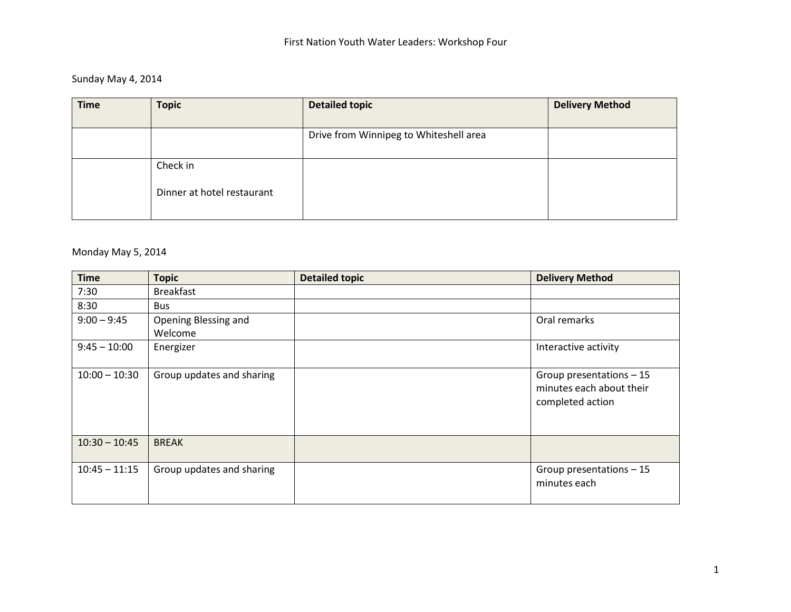# Sunday May 4, 2014

| <b>Time</b> | <b>Topic</b>               | <b>Detailed topic</b>                  | <b>Delivery Method</b> |
|-------------|----------------------------|----------------------------------------|------------------------|
|             |                            | Drive from Winnipeg to Whiteshell area |                        |
|             | Check in                   |                                        |                        |
|             | Dinner at hotel restaurant |                                        |                        |
|             |                            |                                        |                        |

### Monday May 5, 2014

| <b>Time</b>     | <b>Topic</b>                    | <b>Detailed topic</b> | <b>Delivery Method</b>                                                    |
|-----------------|---------------------------------|-----------------------|---------------------------------------------------------------------------|
| 7:30            | <b>Breakfast</b>                |                       |                                                                           |
| 8:30            | Bus                             |                       |                                                                           |
| $9:00 - 9:45$   | Opening Blessing and<br>Welcome |                       | Oral remarks                                                              |
| $9:45 - 10:00$  | Energizer                       |                       | Interactive activity                                                      |
| $10:00 - 10:30$ | Group updates and sharing       |                       | Group presentations $-15$<br>minutes each about their<br>completed action |
| $10:30 - 10:45$ | <b>BREAK</b>                    |                       |                                                                           |
| $10:45 - 11:15$ | Group updates and sharing       |                       | Group presentations $-15$<br>minutes each                                 |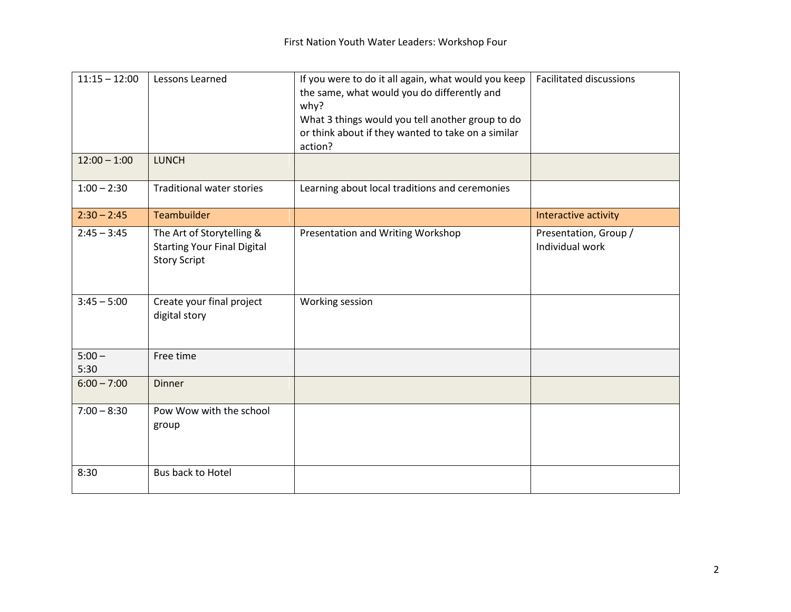| $11:15 - 12:00$  | Lessons Learned                                                                        | If you were to do it all again, what would you keep<br>the same, what would you do differently and<br>why?<br>What 3 things would you tell another group to do<br>or think about if they wanted to take on a similar<br>action? | <b>Facilitated discussions</b>           |
|------------------|----------------------------------------------------------------------------------------|---------------------------------------------------------------------------------------------------------------------------------------------------------------------------------------------------------------------------------|------------------------------------------|
| $12:00 - 1:00$   | <b>LUNCH</b>                                                                           |                                                                                                                                                                                                                                 |                                          |
| $1:00 - 2:30$    | <b>Traditional water stories</b>                                                       | Learning about local traditions and ceremonies                                                                                                                                                                                  |                                          |
| $2:30 - 2:45$    | Teambuilder                                                                            |                                                                                                                                                                                                                                 | Interactive activity                     |
| $2:45 - 3:45$    | The Art of Storytelling &<br><b>Starting Your Final Digital</b><br><b>Story Script</b> | Presentation and Writing Workshop                                                                                                                                                                                               | Presentation, Group /<br>Individual work |
| $3:45 - 5:00$    | Create your final project<br>digital story                                             | Working session                                                                                                                                                                                                                 |                                          |
| $5:00 -$<br>5:30 | Free time                                                                              |                                                                                                                                                                                                                                 |                                          |
| $6:00 - 7:00$    | <b>Dinner</b>                                                                          |                                                                                                                                                                                                                                 |                                          |
| $7:00 - 8:30$    | Pow Wow with the school<br>group                                                       |                                                                                                                                                                                                                                 |                                          |
| 8:30             | Bus back to Hotel                                                                      |                                                                                                                                                                                                                                 |                                          |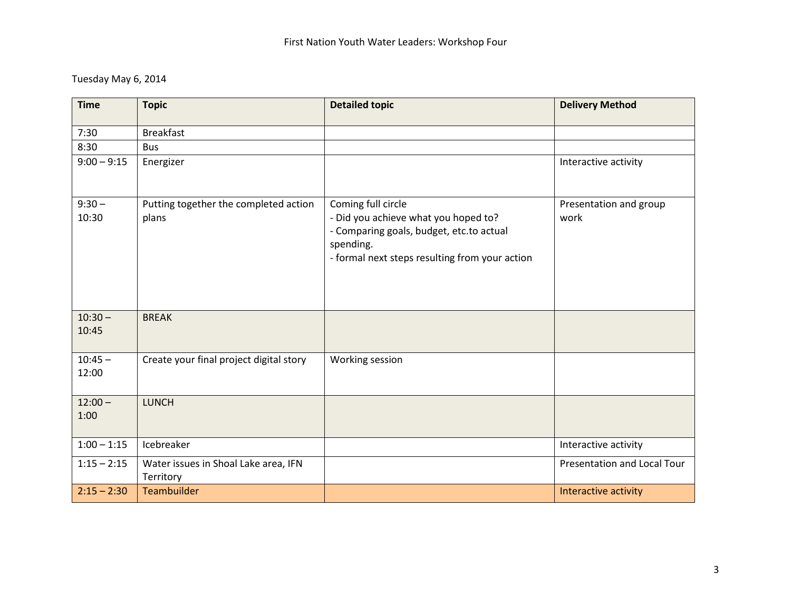## Tuesday May 6, 2014

| <b>Time</b>        | <b>Topic</b>                                      | <b>Detailed topic</b>                                                                                                                                                 | <b>Delivery Method</b>         |
|--------------------|---------------------------------------------------|-----------------------------------------------------------------------------------------------------------------------------------------------------------------------|--------------------------------|
| 7:30               | <b>Breakfast</b>                                  |                                                                                                                                                                       |                                |
| 8:30               | <b>Bus</b>                                        |                                                                                                                                                                       |                                |
| $9:00 - 9:15$      | Energizer                                         |                                                                                                                                                                       | Interactive activity           |
| $9:30 -$<br>10:30  | Putting together the completed action<br>plans    | Coming full circle<br>- Did you achieve what you hoped to?<br>- Comparing goals, budget, etc.to actual<br>spending.<br>- formal next steps resulting from your action | Presentation and group<br>work |
| $10:30 -$<br>10:45 | <b>BREAK</b>                                      |                                                                                                                                                                       |                                |
| $10:45 -$<br>12:00 | Create your final project digital story           | Working session                                                                                                                                                       |                                |
| $12:00 -$<br>1:00  | <b>LUNCH</b>                                      |                                                                                                                                                                       |                                |
| $1:00 - 1:15$      | Icebreaker                                        |                                                                                                                                                                       | Interactive activity           |
| $1:15 - 2:15$      | Water issues in Shoal Lake area, IFN<br>Territory |                                                                                                                                                                       | Presentation and Local Tour    |
| $2:15 - 2:30$      | <b>Teambuilder</b>                                |                                                                                                                                                                       | Interactive activity           |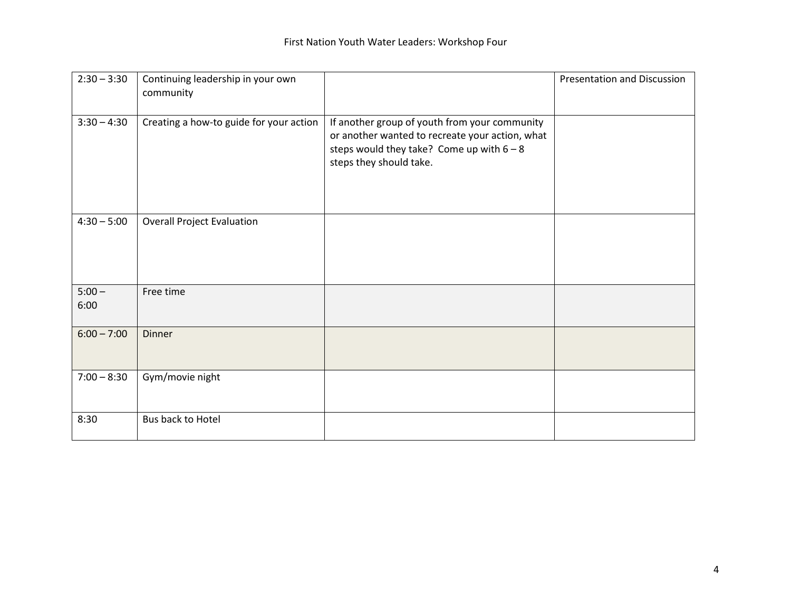| $2:30 - 3:30$    | Continuing leadership in your own<br>community |                                                                                                                                                                            | <b>Presentation and Discussion</b> |
|------------------|------------------------------------------------|----------------------------------------------------------------------------------------------------------------------------------------------------------------------------|------------------------------------|
| $3:30 - 4:30$    | Creating a how-to guide for your action        | If another group of youth from your community<br>or another wanted to recreate your action, what<br>steps would they take? Come up with $6 - 8$<br>steps they should take. |                                    |
| $4:30 - 5:00$    | <b>Overall Project Evaluation</b>              |                                                                                                                                                                            |                                    |
| $5:00 -$<br>6:00 | Free time                                      |                                                                                                                                                                            |                                    |
| $6:00 - 7:00$    | <b>Dinner</b>                                  |                                                                                                                                                                            |                                    |
| $7:00 - 8:30$    | Gym/movie night                                |                                                                                                                                                                            |                                    |
| 8:30             | Bus back to Hotel                              |                                                                                                                                                                            |                                    |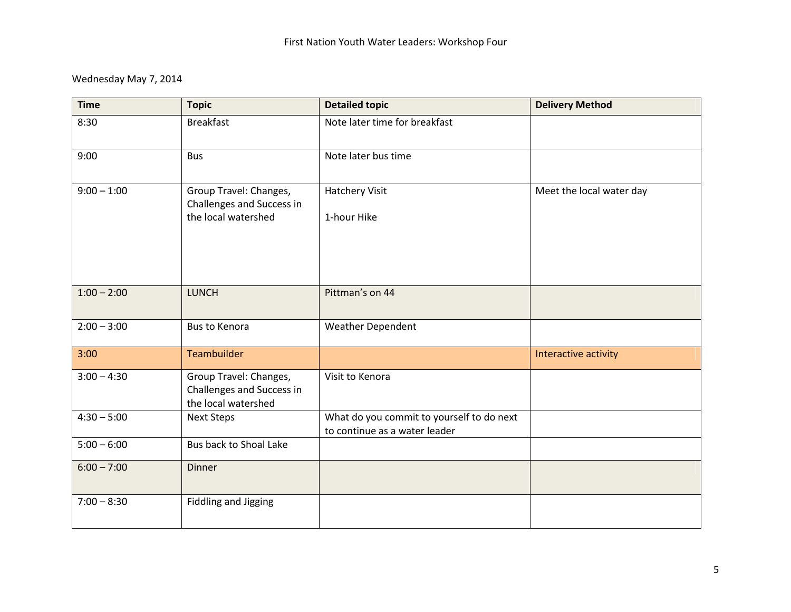## Wednesday May 7, 2014

| <b>Time</b>   | <b>Topic</b>                                                               | <b>Detailed topic</b>                                                      | <b>Delivery Method</b>   |
|---------------|----------------------------------------------------------------------------|----------------------------------------------------------------------------|--------------------------|
| 8:30          | <b>Breakfast</b>                                                           | Note later time for breakfast                                              |                          |
| 9:00          | <b>Bus</b>                                                                 | Note later bus time                                                        |                          |
| $9:00 - 1:00$ | Group Travel: Changes,<br>Challenges and Success in<br>the local watershed | <b>Hatchery Visit</b><br>1-hour Hike                                       | Meet the local water day |
|               |                                                                            |                                                                            |                          |
| $1:00 - 2:00$ | <b>LUNCH</b>                                                               | Pittman's on 44                                                            |                          |
| $2:00 - 3:00$ | <b>Bus to Kenora</b>                                                       | <b>Weather Dependent</b>                                                   |                          |
| 3:00          | <b>Teambuilder</b>                                                         |                                                                            | Interactive activity     |
| $3:00 - 4:30$ | Group Travel: Changes,<br>Challenges and Success in<br>the local watershed | Visit to Kenora                                                            |                          |
| $4:30 - 5:00$ | <b>Next Steps</b>                                                          | What do you commit to yourself to do next<br>to continue as a water leader |                          |
| $5:00 - 6:00$ | Bus back to Shoal Lake                                                     |                                                                            |                          |
| $6:00 - 7:00$ | <b>Dinner</b>                                                              |                                                                            |                          |
| $7:00 - 8:30$ | <b>Fiddling and Jigging</b>                                                |                                                                            |                          |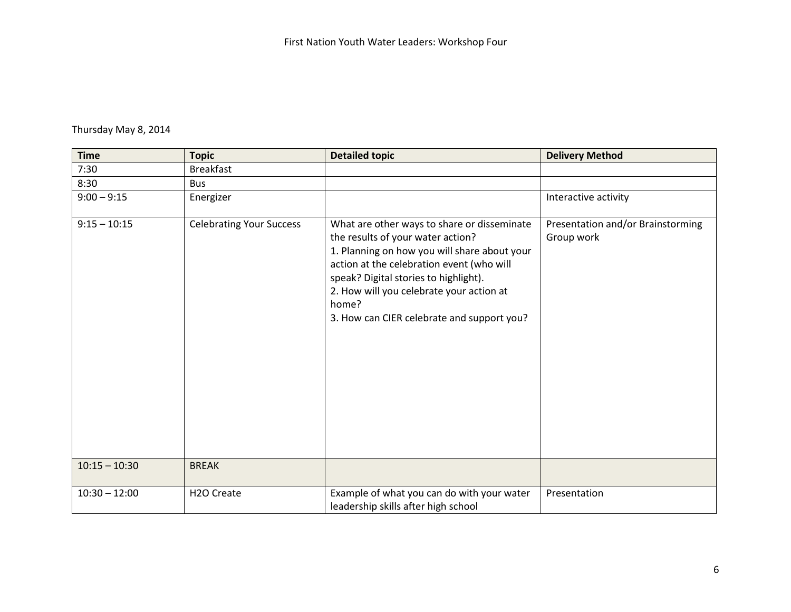### Thursday May 8, 2014

| <b>Time</b>     | <b>Topic</b>                    | <b>Detailed topic</b>                                                                                                                                                                                                                                                                                                     | <b>Delivery Method</b>                          |
|-----------------|---------------------------------|---------------------------------------------------------------------------------------------------------------------------------------------------------------------------------------------------------------------------------------------------------------------------------------------------------------------------|-------------------------------------------------|
| 7:30            | <b>Breakfast</b>                |                                                                                                                                                                                                                                                                                                                           |                                                 |
| 8:30            | <b>Bus</b>                      |                                                                                                                                                                                                                                                                                                                           |                                                 |
| $9:00 - 9:15$   | Energizer                       |                                                                                                                                                                                                                                                                                                                           | Interactive activity                            |
| $9:15 - 10:15$  | <b>Celebrating Your Success</b> | What are other ways to share or disseminate<br>the results of your water action?<br>1. Planning on how you will share about your<br>action at the celebration event (who will<br>speak? Digital stories to highlight).<br>2. How will you celebrate your action at<br>home?<br>3. How can CIER celebrate and support you? | Presentation and/or Brainstorming<br>Group work |
| $10:15 - 10:30$ | <b>BREAK</b>                    |                                                                                                                                                                                                                                                                                                                           |                                                 |
| $10:30 - 12:00$ | H <sub>2</sub> O Create         | Example of what you can do with your water<br>leadership skills after high school                                                                                                                                                                                                                                         | Presentation                                    |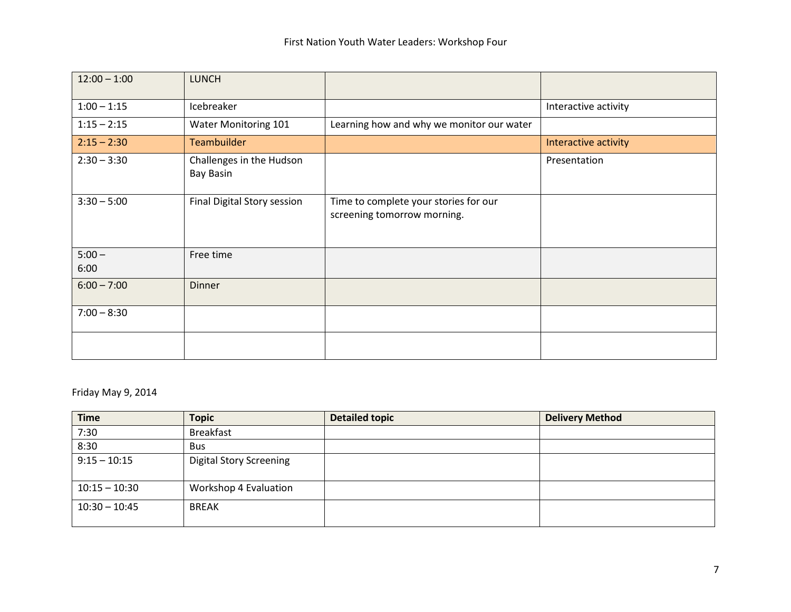| $12:00 - 1:00$   | <b>LUNCH</b>                                 |                                                                      |                      |
|------------------|----------------------------------------------|----------------------------------------------------------------------|----------------------|
| $1:00 - 1:15$    | Icebreaker                                   |                                                                      | Interactive activity |
| $1:15 - 2:15$    | <b>Water Monitoring 101</b>                  | Learning how and why we monitor our water                            |                      |
| $2:15 - 2:30$    | <b>Teambuilder</b>                           |                                                                      | Interactive activity |
| $2:30 - 3:30$    | Challenges in the Hudson<br><b>Bay Basin</b> |                                                                      | Presentation         |
| $3:30 - 5:00$    | <b>Final Digital Story session</b>           | Time to complete your stories for our<br>screening tomorrow morning. |                      |
| $5:00 -$<br>6:00 | Free time                                    |                                                                      |                      |
| $6:00 - 7:00$    | <b>Dinner</b>                                |                                                                      |                      |
| $7:00 - 8:30$    |                                              |                                                                      |                      |
|                  |                                              |                                                                      |                      |

### Friday May 9, 2014

| <b>Time</b>     | <b>Topic</b>                   | <b>Detailed topic</b> | <b>Delivery Method</b> |
|-----------------|--------------------------------|-----------------------|------------------------|
| 7:30            | <b>Breakfast</b>               |                       |                        |
| 8:30            | <b>Bus</b>                     |                       |                        |
| $9:15 - 10:15$  | <b>Digital Story Screening</b> |                       |                        |
| $10:15 - 10:30$ | Workshop 4 Evaluation          |                       |                        |
| $10:30 - 10:45$ | <b>BREAK</b>                   |                       |                        |